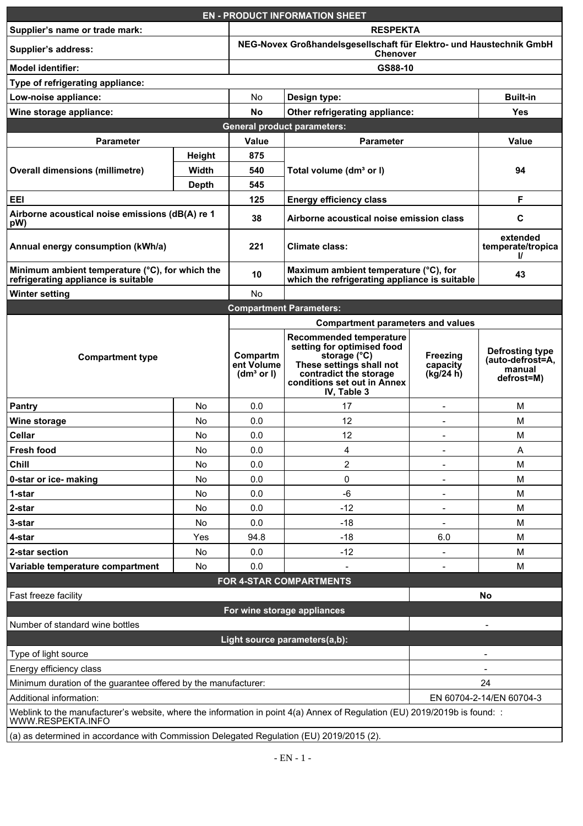| <b>EN - PRODUCT INFORMATION SHEET</b>                                                                                                                                                                  |                                       |                                                                                 |                                                                                                                                                                           |                                   |                                                             |  |  |  |
|--------------------------------------------------------------------------------------------------------------------------------------------------------------------------------------------------------|---------------------------------------|---------------------------------------------------------------------------------|---------------------------------------------------------------------------------------------------------------------------------------------------------------------------|-----------------------------------|-------------------------------------------------------------|--|--|--|
| <b>RESPEKTA</b><br>Supplier's name or trade mark:                                                                                                                                                      |                                       |                                                                                 |                                                                                                                                                                           |                                   |                                                             |  |  |  |
| Supplier's address:                                                                                                                                                                                    |                                       | NEG-Novex Großhandelsgesellschaft für Elektro- und Haustechnik GmbH<br>Chenover |                                                                                                                                                                           |                                   |                                                             |  |  |  |
| <b>Model identifier:</b>                                                                                                                                                                               |                                       | GS88-10                                                                         |                                                                                                                                                                           |                                   |                                                             |  |  |  |
| Type of refrigerating appliance:                                                                                                                                                                       |                                       |                                                                                 |                                                                                                                                                                           |                                   |                                                             |  |  |  |
| Low-noise appliance:                                                                                                                                                                                   |                                       | No                                                                              | Design type:                                                                                                                                                              |                                   | <b>Built-in</b>                                             |  |  |  |
| Wine storage appliance:                                                                                                                                                                                |                                       | No                                                                              | Other refrigerating appliance:                                                                                                                                            |                                   | Yes                                                         |  |  |  |
|                                                                                                                                                                                                        | <b>General product parameters:</b>    |                                                                                 |                                                                                                                                                                           |                                   |                                                             |  |  |  |
| Parameter                                                                                                                                                                                              |                                       | Value                                                                           | Parameter                                                                                                                                                                 |                                   | Value                                                       |  |  |  |
| Overall dimensions (millimetre)                                                                                                                                                                        | Height                                | 875                                                                             | Total volume (dm <sup>3</sup> or I)                                                                                                                                       |                                   |                                                             |  |  |  |
|                                                                                                                                                                                                        | Width                                 | 540                                                                             |                                                                                                                                                                           |                                   | 94                                                          |  |  |  |
|                                                                                                                                                                                                        | Depth                                 | 545                                                                             |                                                                                                                                                                           |                                   |                                                             |  |  |  |
| EEI                                                                                                                                                                                                    | 125<br><b>Energy efficiency class</b> |                                                                                 |                                                                                                                                                                           | F                                 |                                                             |  |  |  |
| Airborne acoustical noise emissions (dB(A) re 1                                                                                                                                                        |                                       |                                                                                 | Airborne acoustical noise emission class                                                                                                                                  |                                   |                                                             |  |  |  |
| pW)                                                                                                                                                                                                    |                                       | 38                                                                              |                                                                                                                                                                           |                                   | С                                                           |  |  |  |
| Annual energy consumption (kWh/a)                                                                                                                                                                      |                                       | 221                                                                             | Climate class:                                                                                                                                                            |                                   | extended<br>temperate/tropica<br>V                          |  |  |  |
| Minimum ambient temperature (°C), for which the<br>refrigerating appliance is suitable                                                                                                                 |                                       | 10                                                                              | Maximum ambient temperature (°C), for<br>which the refrigerating appliance is suitable                                                                                    |                                   | 43                                                          |  |  |  |
| Winter setting                                                                                                                                                                                         |                                       | No                                                                              |                                                                                                                                                                           |                                   |                                                             |  |  |  |
| <b>Compartment Parameters:</b>                                                                                                                                                                         |                                       |                                                                                 |                                                                                                                                                                           |                                   |                                                             |  |  |  |
| <b>Compartment type</b>                                                                                                                                                                                |                                       |                                                                                 | <b>Compartment parameters and values</b>                                                                                                                                  |                                   |                                                             |  |  |  |
|                                                                                                                                                                                                        |                                       | Compartm<br>ent Volume<br>(dm <sup>3</sup> or I)                                | Recommended temperature<br>setting for optimised food<br>storage (°C)<br>These settings shall not<br>contradict the storage<br>conditions set out in Annex<br>IV, Table 3 | Freezing<br>capacity<br>(kg/24 h) | Defrosting type<br>(auto-defrost=A,<br>manual<br>defrost=M) |  |  |  |
| Pantry                                                                                                                                                                                                 | No                                    | 0.0                                                                             | 17                                                                                                                                                                        | $\overline{\phantom{a}}$          | м                                                           |  |  |  |
| Wine storage                                                                                                                                                                                           | No                                    | 0.0                                                                             | 12                                                                                                                                                                        |                                   | М                                                           |  |  |  |
| Cellar                                                                                                                                                                                                 | No                                    | 0.0                                                                             | 12                                                                                                                                                                        | $\overline{\phantom{a}}$          | м                                                           |  |  |  |
| Fresh food                                                                                                                                                                                             | No                                    | 0.0                                                                             | 4                                                                                                                                                                         |                                   | Α                                                           |  |  |  |
| Chill                                                                                                                                                                                                  | No                                    | 0.0                                                                             | $\overline{2}$                                                                                                                                                            | $\overline{\phantom{a}}$          | м                                                           |  |  |  |
| 0-star or ice- making                                                                                                                                                                                  | No                                    | 0.0                                                                             | 0                                                                                                                                                                         |                                   | М                                                           |  |  |  |
| 1-star                                                                                                                                                                                                 | No                                    | 0.0                                                                             | $-6$                                                                                                                                                                      | $\overline{\phantom{a}}$          | м                                                           |  |  |  |
| 2-star                                                                                                                                                                                                 | No                                    | 0.0                                                                             | -12                                                                                                                                                                       |                                   | M                                                           |  |  |  |
| 3-star                                                                                                                                                                                                 | No                                    | 0.0                                                                             | $-18$                                                                                                                                                                     | $\overline{\phantom{a}}$          | м                                                           |  |  |  |
| 4-star                                                                                                                                                                                                 | Yes                                   | 94.8                                                                            | -18                                                                                                                                                                       | 6.0                               | M                                                           |  |  |  |
| 2-star section                                                                                                                                                                                         | No                                    | 0.0                                                                             | -12                                                                                                                                                                       | $\overline{a}$                    | м                                                           |  |  |  |
| Variable temperature compartment                                                                                                                                                                       | No                                    | 0.0                                                                             |                                                                                                                                                                           | $\overline{a}$                    | M                                                           |  |  |  |
|                                                                                                                                                                                                        |                                       |                                                                                 | FOR 4-STAR COMPARTMENTS                                                                                                                                                   |                                   |                                                             |  |  |  |
| Fast freeze facility                                                                                                                                                                                   |                                       |                                                                                 |                                                                                                                                                                           |                                   | No                                                          |  |  |  |
|                                                                                                                                                                                                        |                                       |                                                                                 | For wine storage appliances                                                                                                                                               |                                   |                                                             |  |  |  |
| Number of standard wine bottles                                                                                                                                                                        |                                       |                                                                                 |                                                                                                                                                                           |                                   |                                                             |  |  |  |
|                                                                                                                                                                                                        |                                       |                                                                                 |                                                                                                                                                                           |                                   |                                                             |  |  |  |
|                                                                                                                                                                                                        |                                       |                                                                                 | Light source parameters(a,b):                                                                                                                                             |                                   |                                                             |  |  |  |
| Type of light source                                                                                                                                                                                   |                                       |                                                                                 |                                                                                                                                                                           |                                   |                                                             |  |  |  |
| Energy efficiency class                                                                                                                                                                                |                                       |                                                                                 |                                                                                                                                                                           |                                   |                                                             |  |  |  |
| Minimum duration of the guarantee offered by the manufacturer:                                                                                                                                         |                                       |                                                                                 |                                                                                                                                                                           |                                   | 24                                                          |  |  |  |
| EN 60704-2-14/EN 60704-3<br>Additional information:<br>Weblink to the manufacturer's website, where the information in point 4(a) Annex of Regulation (EU) 2019/2019b is found: :<br>WWW.RESPEKTA.INFO |                                       |                                                                                 |                                                                                                                                                                           |                                   |                                                             |  |  |  |
| (a) as determined in accordance with Commission Delegated Regulation (EU) 2019/2015 (2).                                                                                                               |                                       |                                                                                 |                                                                                                                                                                           |                                   |                                                             |  |  |  |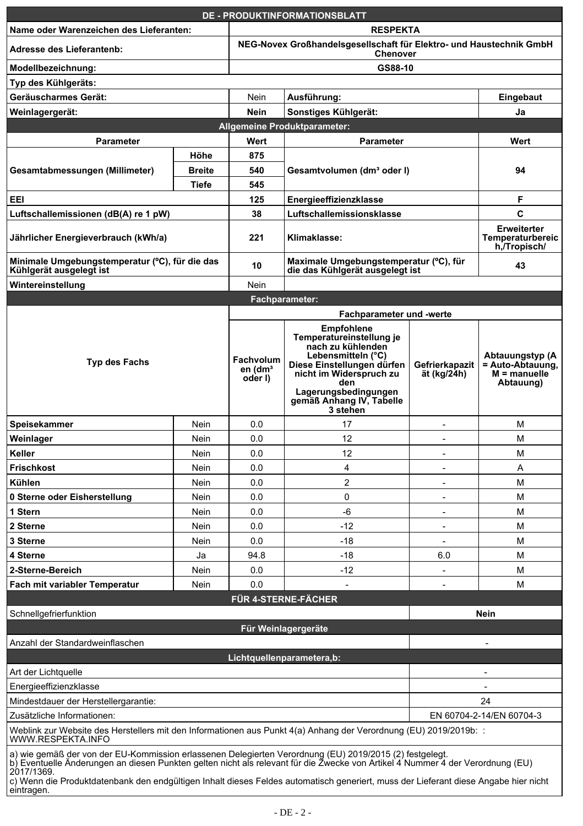|                                                                                                                                                                                                                                                                                                                                                                                                              |                          |                                                                                 | <b>DE - PRODUKTINFORMATIONSBLATT</b>                                                                                                                                                                                     |                               |                                                                    |  |
|--------------------------------------------------------------------------------------------------------------------------------------------------------------------------------------------------------------------------------------------------------------------------------------------------------------------------------------------------------------------------------------------------------------|--------------------------|---------------------------------------------------------------------------------|--------------------------------------------------------------------------------------------------------------------------------------------------------------------------------------------------------------------------|-------------------------------|--------------------------------------------------------------------|--|
| Name oder Warenzeichen des Lieferanten:                                                                                                                                                                                                                                                                                                                                                                      |                          | <b>RESPEKTA</b>                                                                 |                                                                                                                                                                                                                          |                               |                                                                    |  |
| Adresse des Lieferantenb:                                                                                                                                                                                                                                                                                                                                                                                    |                          | NEG-Novex Großhandelsgesellschaft für Elektro- und Haustechnik GmbH<br>Chenover |                                                                                                                                                                                                                          |                               |                                                                    |  |
| Modellbezeichnung:                                                                                                                                                                                                                                                                                                                                                                                           |                          | GS88-10                                                                         |                                                                                                                                                                                                                          |                               |                                                                    |  |
| Typ des Kühlgeräts:                                                                                                                                                                                                                                                                                                                                                                                          |                          |                                                                                 |                                                                                                                                                                                                                          |                               |                                                                    |  |
| Geräuscharmes Gerät:                                                                                                                                                                                                                                                                                                                                                                                         |                          | Nein                                                                            | Ausführung:                                                                                                                                                                                                              |                               | Eingebaut                                                          |  |
| Weinlagergerät:                                                                                                                                                                                                                                                                                                                                                                                              |                          | Nein                                                                            | Sonstiges Kühlgerät:                                                                                                                                                                                                     |                               | Ja                                                                 |  |
|                                                                                                                                                                                                                                                                                                                                                                                                              |                          | Allgemeine Produktparameter:                                                    |                                                                                                                                                                                                                          |                               |                                                                    |  |
| Parameter                                                                                                                                                                                                                                                                                                                                                                                                    |                          | Wert                                                                            | Parameter                                                                                                                                                                                                                |                               | Wert                                                               |  |
|                                                                                                                                                                                                                                                                                                                                                                                                              | Höhe                     | 875                                                                             | Gesamtvolumen (dmª oder I)                                                                                                                                                                                               |                               |                                                                    |  |
| Gesamtabmessungen (Millimeter)                                                                                                                                                                                                                                                                                                                                                                               | <b>Breite</b>            | 540                                                                             |                                                                                                                                                                                                                          |                               | 94                                                                 |  |
|                                                                                                                                                                                                                                                                                                                                                                                                              | Tiefe                    | 545                                                                             |                                                                                                                                                                                                                          |                               |                                                                    |  |
| EEI                                                                                                                                                                                                                                                                                                                                                                                                          |                          | 125                                                                             | Energieeffizienzklasse                                                                                                                                                                                                   |                               | F                                                                  |  |
| Luftschallemissionen (dB(A) re 1 pW)                                                                                                                                                                                                                                                                                                                                                                         |                          | 38                                                                              | Luftschallemissionsklasse                                                                                                                                                                                                |                               | C                                                                  |  |
| Jährlicher Energieverbrauch (kWh/a)                                                                                                                                                                                                                                                                                                                                                                          |                          | 221                                                                             | Klimaklasse:                                                                                                                                                                                                             |                               | Erweiterter<br>Temperaturbereic<br>h, Tropisch/                    |  |
| Minimale Umgebungstemperatur (°C), für die das<br>Kühlgerät ausgelegt ist                                                                                                                                                                                                                                                                                                                                    |                          | 10                                                                              | Maximale Umgebungstemperatur (°C), für<br>die das Kühlgerät ausgelegt ist                                                                                                                                                |                               | 43                                                                 |  |
| Wintereinstellung                                                                                                                                                                                                                                                                                                                                                                                            |                          | Nein                                                                            |                                                                                                                                                                                                                          |                               |                                                                    |  |
|                                                                                                                                                                                                                                                                                                                                                                                                              |                          |                                                                                 | Fachparameter:                                                                                                                                                                                                           |                               |                                                                    |  |
|                                                                                                                                                                                                                                                                                                                                                                                                              |                          |                                                                                 | Fachparameter und -werte                                                                                                                                                                                                 |                               |                                                                    |  |
| Typ des Fachs                                                                                                                                                                                                                                                                                                                                                                                                |                          | Fachvolum<br>en $(dm3)$<br>oder I)                                              | <b>Empfohlene</b><br>Temperatureinstellung je<br>nach zu kühlenden<br>Lebensmitteln (°C)<br>Diese Einstellungen dürfen<br>nicht im Widerspruch zu<br>den<br>Lagerungsbedingungen<br>gemäß Anhang IV, Tabelle<br>3 stehen | Gefrierkapazit<br>ät (kg/24h) | Abtauungstyp (A<br>= Auto-Abtauung,<br>$M =$ manuelle<br>Abtauung) |  |
| Speisekammer                                                                                                                                                                                                                                                                                                                                                                                                 | Nein                     | 0.0                                                                             | 17                                                                                                                                                                                                                       | Ξ                             | M                                                                  |  |
| Weinlager                                                                                                                                                                                                                                                                                                                                                                                                    | Nein                     | 0.0                                                                             | 12                                                                                                                                                                                                                       | $\overline{\phantom{a}}$      | M                                                                  |  |
| Keller                                                                                                                                                                                                                                                                                                                                                                                                       | Nein                     | 0.0                                                                             | 12                                                                                                                                                                                                                       |                               | M                                                                  |  |
| <b>Frischkost</b>                                                                                                                                                                                                                                                                                                                                                                                            | Nein                     | 0.0                                                                             | 4                                                                                                                                                                                                                        | $\overline{\phantom{a}}$      | Α                                                                  |  |
| Kühlen                                                                                                                                                                                                                                                                                                                                                                                                       | Nein                     | 0.0                                                                             | $\overline{\mathbf{c}}$                                                                                                                                                                                                  | $\overline{a}$                | M                                                                  |  |
| 0 Sterne oder Eisherstellung                                                                                                                                                                                                                                                                                                                                                                                 | Nein                     | 0.0                                                                             | 0                                                                                                                                                                                                                        | $\overline{\phantom{a}}$      | M                                                                  |  |
| 1 Stern                                                                                                                                                                                                                                                                                                                                                                                                      | Nein                     | 0.0                                                                             | -6                                                                                                                                                                                                                       | Ξ                             | M                                                                  |  |
| 2 Sterne                                                                                                                                                                                                                                                                                                                                                                                                     | Nein                     | 0.0                                                                             | $-12$                                                                                                                                                                                                                    | $\overline{\phantom{a}}$      | М                                                                  |  |
| 3 Sterne                                                                                                                                                                                                                                                                                                                                                                                                     | Nein                     | 0.0                                                                             | $-18$                                                                                                                                                                                                                    | $\overline{a}$                | M                                                                  |  |
| 4 Sterne                                                                                                                                                                                                                                                                                                                                                                                                     | Ja                       | 94.8                                                                            | $-18$                                                                                                                                                                                                                    | 6.0                           | M                                                                  |  |
| 2-Sterne-Bereich                                                                                                                                                                                                                                                                                                                                                                                             | Nein                     | 0.0                                                                             | $-12$                                                                                                                                                                                                                    | $\overline{a}$                | M                                                                  |  |
| Fach mit variabler Temperatur                                                                                                                                                                                                                                                                                                                                                                                | Nein                     | 0.0                                                                             |                                                                                                                                                                                                                          |                               | M                                                                  |  |
|                                                                                                                                                                                                                                                                                                                                                                                                              |                          |                                                                                 | <b>FÜR 4-STERNE-FÄCHER</b>                                                                                                                                                                                               |                               |                                                                    |  |
| Schnellgefrierfunktion                                                                                                                                                                                                                                                                                                                                                                                       |                          |                                                                                 |                                                                                                                                                                                                                          |                               | Nein                                                               |  |
|                                                                                                                                                                                                                                                                                                                                                                                                              |                          |                                                                                 | Für Weinlagergeräte                                                                                                                                                                                                      |                               |                                                                    |  |
| Anzahl der Standardweinflaschen                                                                                                                                                                                                                                                                                                                                                                              |                          |                                                                                 |                                                                                                                                                                                                                          |                               |                                                                    |  |
|                                                                                                                                                                                                                                                                                                                                                                                                              |                          |                                                                                 | Lichtquellenparametera,b:                                                                                                                                                                                                |                               |                                                                    |  |
| Art der Lichtquelle<br>$\overline{\phantom{a}}$                                                                                                                                                                                                                                                                                                                                                              |                          |                                                                                 |                                                                                                                                                                                                                          |                               |                                                                    |  |
| Energieeffizienzklasse                                                                                                                                                                                                                                                                                                                                                                                       |                          |                                                                                 |                                                                                                                                                                                                                          |                               |                                                                    |  |
| Mindestdauer der Herstellergarantie:                                                                                                                                                                                                                                                                                                                                                                         |                          | 24                                                                              |                                                                                                                                                                                                                          |                               |                                                                    |  |
| Zusätzliche Informationen:                                                                                                                                                                                                                                                                                                                                                                                   | EN 60704-2-14/EN 60704-3 |                                                                                 |                                                                                                                                                                                                                          |                               |                                                                    |  |
| Weblink zur Website des Herstellers mit den Informationen aus Punkt 4(a) Anhang der Verordnung (EU) 2019/2019b: :<br>WWW.RESPEKTA.INFO                                                                                                                                                                                                                                                                       |                          |                                                                                 |                                                                                                                                                                                                                          |                               |                                                                    |  |
| a) wie gemäß der von der EU-Kommission erlassenen Delegierten Verordnung (EU) 2019/2015 (2) festgelegt.<br>b) Eventuelle Änderungen an diesen Punkten gelten nicht als relevant für die Zwecke von Artikel 4 Nummer 4 der Verordnung (EU)<br>2017/1369.<br>c) Wenn die Produktdatenbank den endgültigen Inhalt dieses Feldes automatisch generiert, muss der Lieferant diese Angabe hier nicht<br>eintragen. |                          |                                                                                 |                                                                                                                                                                                                                          |                               |                                                                    |  |